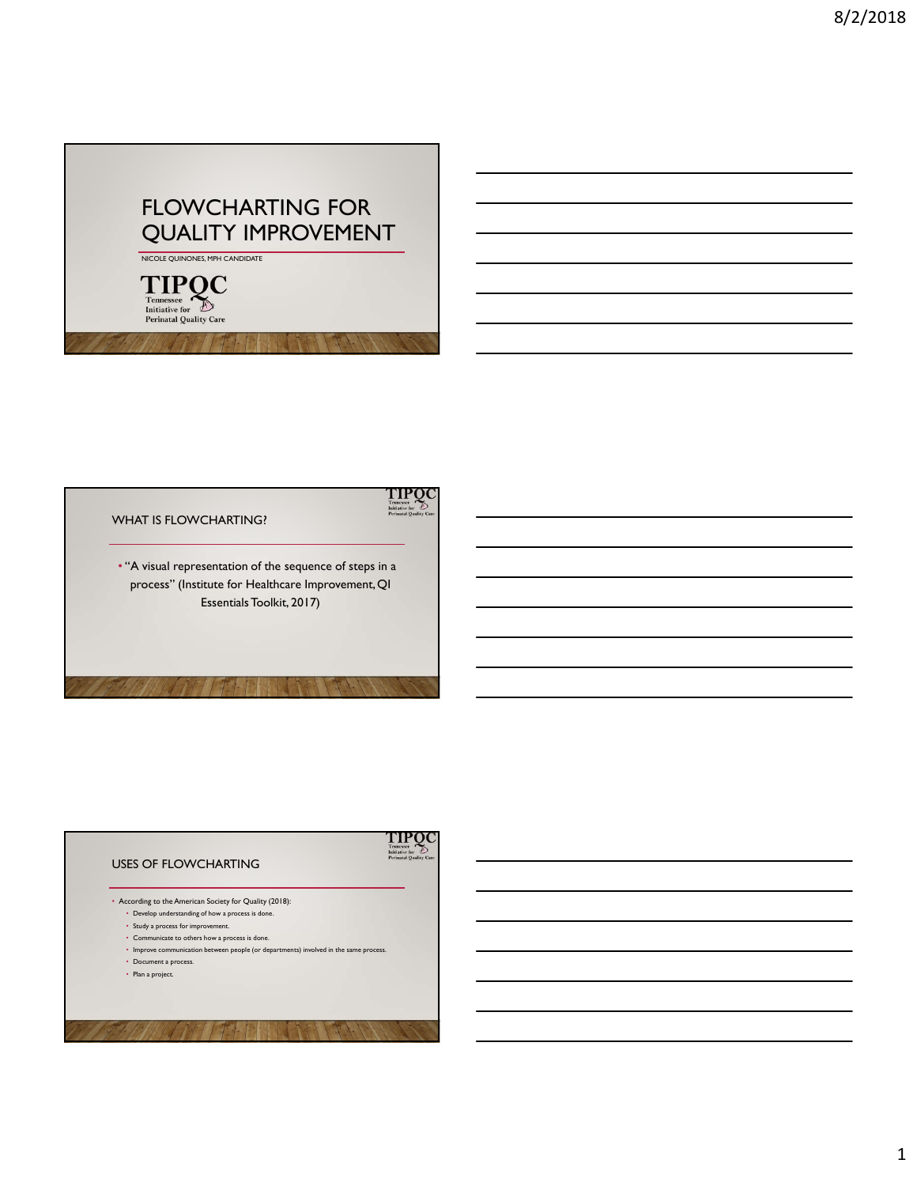## FLOWCHARTING FOR<br>QUALITY IMPROVEMENT



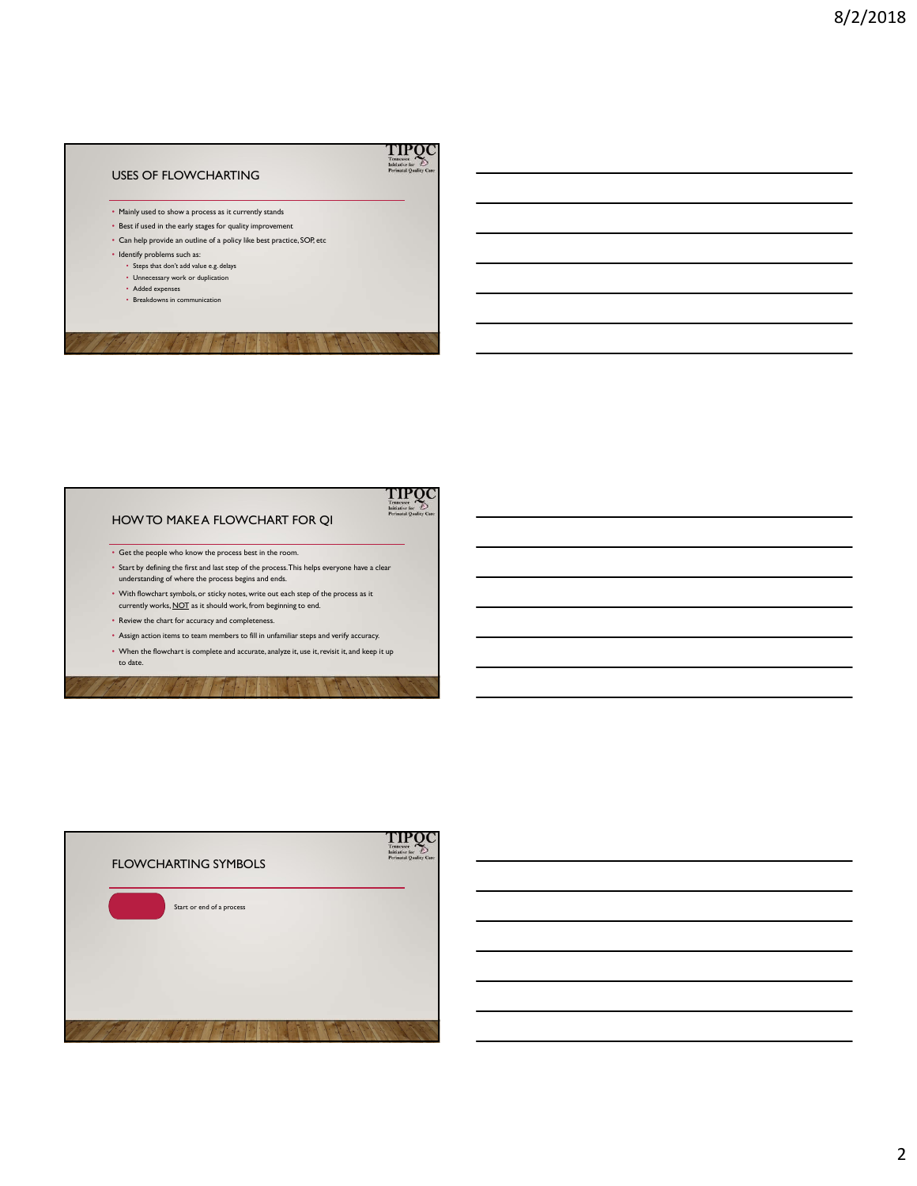## **TIPQC** Initiative fo USES OF FLOWCHARTING • Mainly used to show a process as it currently stands - San Espain Lin in an three texts for spacing the person series of Sec.<br>
Can be give the most and the two series of spacing the best precise (COR) excess the control of the state of the state of the state of the state of • Best if used in the early stages for quality improvement • Can help provide an outline of a policy like best practice, SOP, etc • Identify problems such as: • Steps that don't add value e.g. delays • Unnecessary work or duplication • Added expenses • Breakdowns in communication

- 
- 



- Get the people who know the process best in the room.
- Start by defining the first and last step of the process. This helps everyone have a clear understanding of where the process begins and ends.
- With flowchart symbols, or sticky notes, write out each step of the process as it currently works, NQT as it should work, from beginning to end.
- 
- 
- 

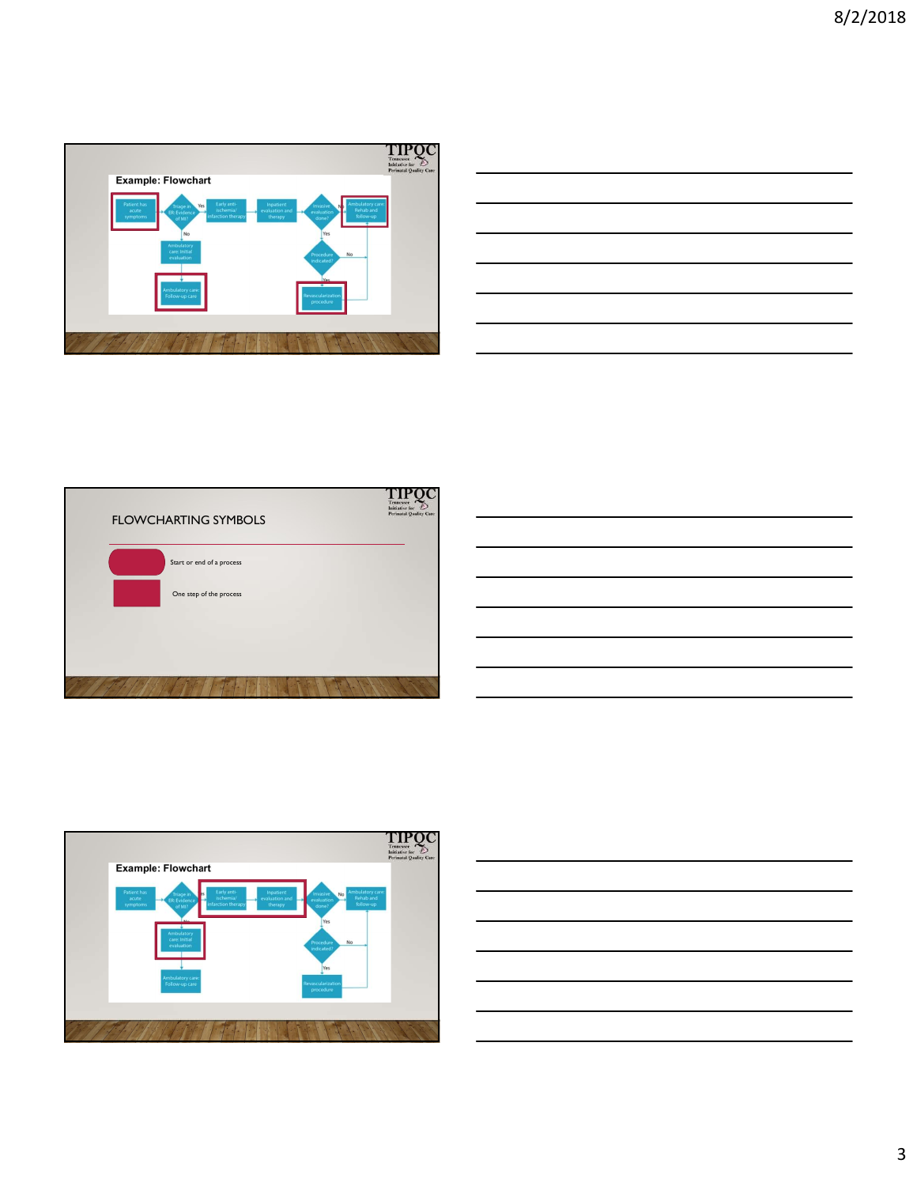

| the contract of the contract of the contract of the contract of the contract of the contract of the contract of      |  |                             |
|----------------------------------------------------------------------------------------------------------------------|--|-----------------------------|
|                                                                                                                      |  |                             |
| <u> Alexandro de la contrada de la contrada de la contrada de la contrada de la contrada de la contrada de la co</u> |  | and the control of the con- |
| <u> 1989 - Andrea Santa Andrea Andrea Andrea Andrea Andrea Andrea Andrea Andrea Andrea Andrea Andrea Andrea Andr</u> |  |                             |
|                                                                                                                      |  | ______                      |
| <u> Andreas Andreas Andreas Andreas Andreas Andreas Andreas Andreas Andreas Andreas Andreas Andreas Andreas Andr</u> |  |                             |
|                                                                                                                      |  | $\sim$ $\sim$               |
|                                                                                                                      |  |                             |







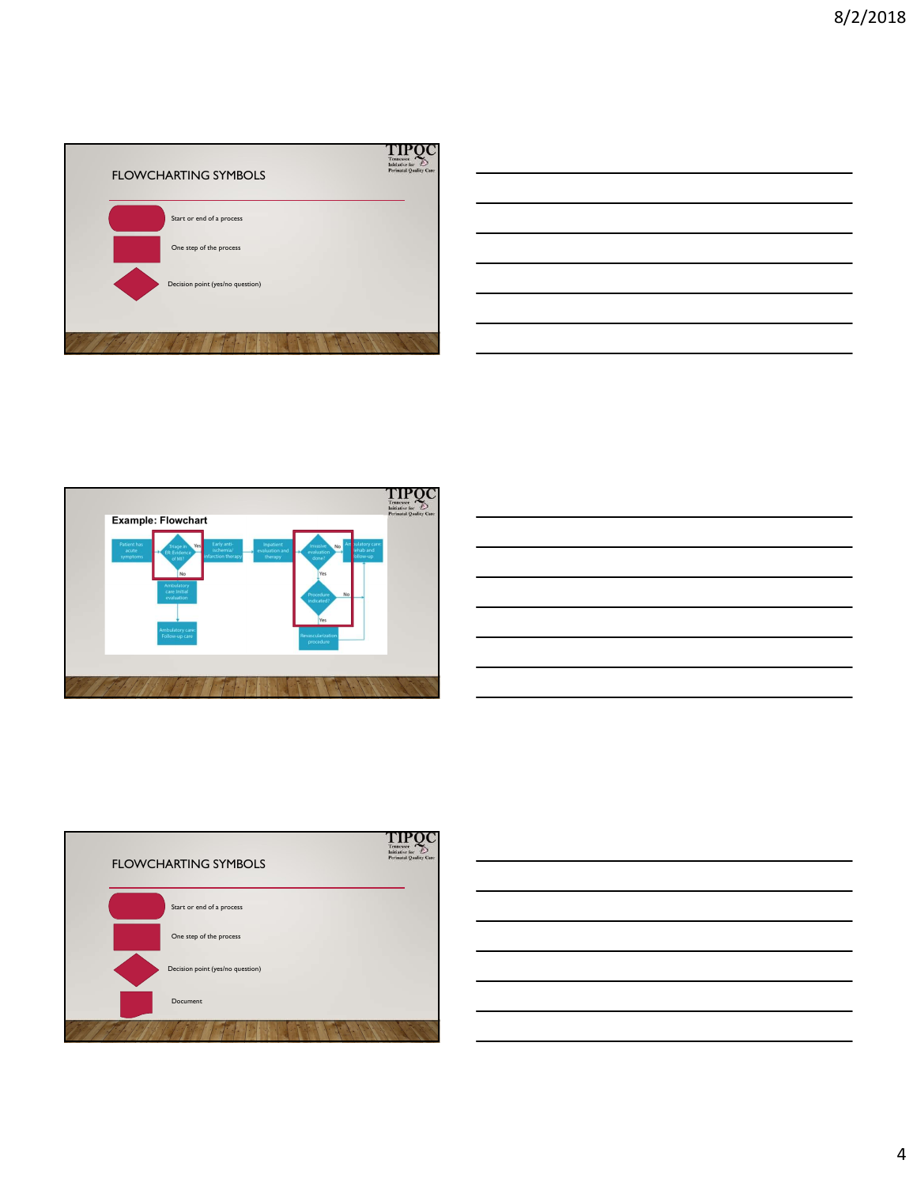

| $\overline{\phantom{a}}$                                                                                              |  |  |
|-----------------------------------------------------------------------------------------------------------------------|--|--|
|                                                                                                                       |  |  |
| <u> Alexandro de la contrada de la contrada de la contrada de la contrada de la contrada de la contrada de la co</u>  |  |  |
|                                                                                                                       |  |  |
| <u> Alexandro de la contrada de la contrada de la contrada de la contrada de la contrada de la contrada de la con</u> |  |  |
| <u> 1989 - Johann Stein, mars an t-Amerikaansk kommunister (</u>                                                      |  |  |
|                                                                                                                       |  |  |
|                                                                                                                       |  |  |